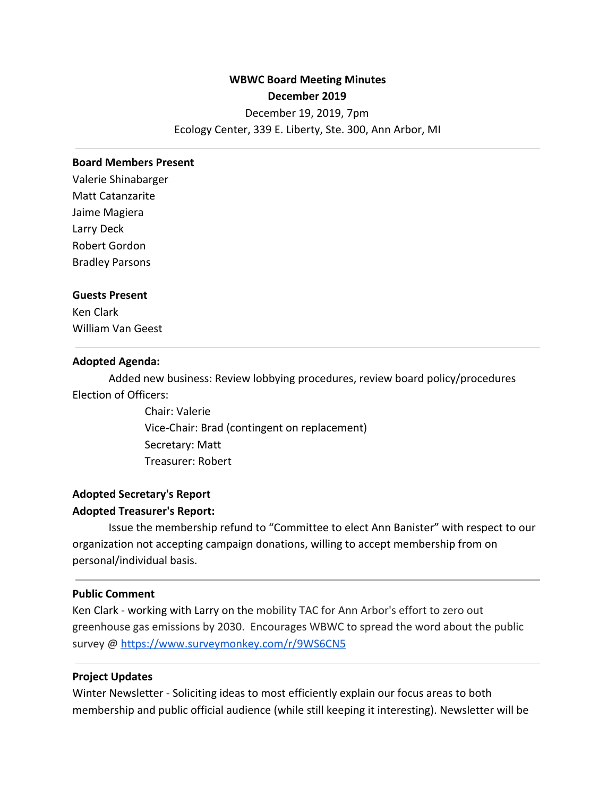# **WBWC Board Meeting Minutes**

### **December 2019**

December 19, 2019, 7pm

Ecology Center, 339 E. Liberty, Ste. 300, Ann Arbor, MI

#### **Board Members Present**

Valerie Shinabarger Matt Catanzarite Jaime Magiera Larry Deck Robert Gordon Bradley Parsons

#### **Guests Present**

Ken Clark William Van Geest

#### **Adopted Agenda:**

Added new business: Review lobbying procedures, review board policy/procedures Election of Officers:

> Chair: Valerie Vice-Chair: Brad (contingent on replacement) Secretary: Matt Treasurer: Robert

## **Adopted Secretary's Report Adopted Treasurer's Report:**

Issue the membership refund to "Committee to elect Ann Banister" with respect to our organization not accepting campaign donations, willing to accept membership from on personal/individual basis.

#### **Public Comment**

Ken Clark - working with Larry on the mobility TAC for Ann Arbor's effort to zero out greenhouse gas emissions by 2030. Encourages WBWC to spread the word about the public survey @<https://www.surveymonkey.com/r/9WS6CN5>

#### **Project Updates**

Winter Newsletter - Soliciting ideas to most efficiently explain our focus areas to both membership and public official audience (while still keeping it interesting). Newsletter will be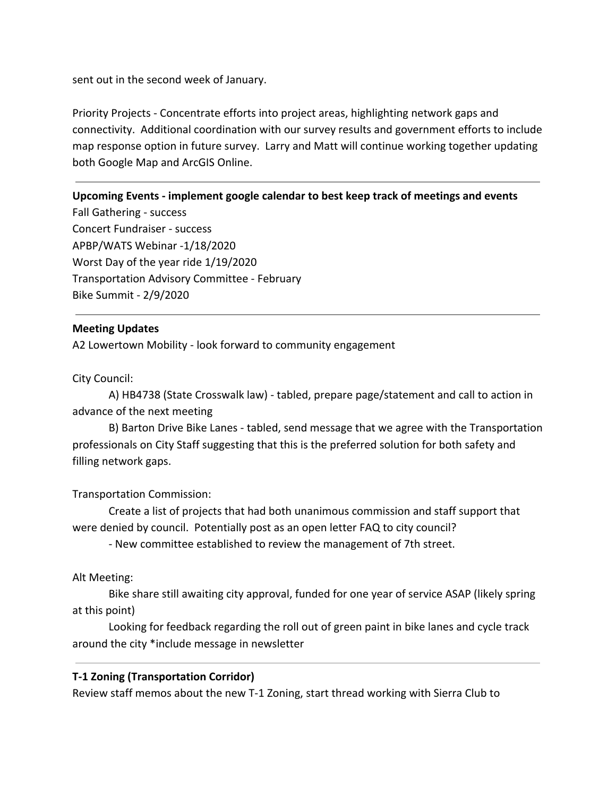sent out in the second week of January.

Priority Projects - Concentrate efforts into project areas, highlighting network gaps and connectivity. Additional coordination with our survey results and government efforts to include map response option in future survey. Larry and Matt will continue working together updating both Google Map and ArcGIS Online.

## **Upcoming Events - implement google calendar to best keep track of meetings and events**

Fall Gathering - success Concert Fundraiser - success APBP/WATS Webinar -1/18/2020 Worst Day of the year ride 1/19/2020 Transportation Advisory Committee - February Bike Summit - 2/9/2020

## **Meeting Updates**

A2 Lowertown Mobility - look forward to community engagement

City Council:

A) HB4738 (State Crosswalk law) - tabled, prepare page/statement and call to action in advance of the next meeting

B) Barton Drive Bike Lanes - tabled, send message that we agree with the Transportation professionals on City Staff suggesting that this is the preferred solution for both safety and filling network gaps.

Transportation Commission:

Create a list of projects that had both unanimous commission and staff support that were denied by council. Potentially post as an open letter FAQ to city council?

- New committee established to review the management of 7th street.

Alt Meeting:

Bike share still awaiting city approval, funded for one year of service ASAP (likely spring at this point)

Looking for feedback regarding the roll out of green paint in bike lanes and cycle track around the city \*include message in newsletter

## **T-1 Zoning (Transportation Corridor)**

Review staff memos about the new T-1 Zoning, start thread working with Sierra Club to